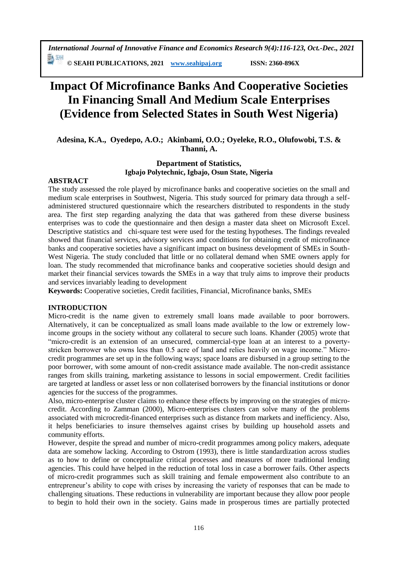# **Impact Of Microfinance Banks And Cooperative Societies In Financing Small And Medium Scale Enterprises (Evidence from Selected States in South West Nigeria)**

**Adesina, K.A., Oyedepo, A.O.; Akinbami, O.O.; Oyeleke, R.O., Olufowobi, T.S. & Thanni, A.**

# **Department of Statistics, Igbajo Polytechnic, Igbajo, Osun State, Nigeria**

#### **ABSTRACT**

The study assessed the role played by microfinance banks and cooperative societies on the small and medium scale enterprises in Southwest, Nigeria. This study sourced for primary data through a selfadministered structured questionnaire which the researchers distributed to respondents in the study area. The first step regarding analyzing the data that was gathered from these diverse business enterprises was to code the questionnaire and then design a master data sheet on Microsoft Excel. Descriptive statistics and chi-square test were used for the testing hypotheses. The findings revealed showed that financial services, advisory services and conditions for obtaining credit of microfinance banks and cooperative societies have a significant impact on business development of SMEs in South-West Nigeria. The study concluded that little or no collateral demand when SME owners apply for loan. The study recommended that microfinance banks and cooperative societies should design and market their financial services towards the SMEs in a way that truly aims to improve their products and services invariably leading to development

**Keywords:** Cooperative societies, Credit facilities, Financial, Microfinance banks, SMEs

# **INTRODUCTION**

Micro-credit is the name given to extremely small loans made available to poor borrowers. Alternatively, it can be conceptualized as small loans made available to the low or extremely lowincome groups in the society without any collateral to secure such loans. Khander (2005) wrote that "micro-credit is an extension of an unsecured, commercial-type loan at an interest to a povertystricken borrower who owns less than 0.5 acre of land and relies heavily on wage income." Microcredit programmes are set up in the following ways; space loans are disbursed in a group setting to the poor borrower, with some amount of non-credit assistance made available. The non-credit assistance ranges from skills training, marketing assistance to lessons in social empowerment. Credit facilities are targeted at landless or asset less or non collaterised borrowers by the financial institutions or donor agencies for the success of the programmes.

Also, micro-enterprise cluster claims to enhance these effects by improving on the strategies of microcredit. According to Zamman (2000), Micro-enterprises clusters can solve many of the problems associated with microcredit-financed enterprises such as distance from markets and inefficiency. Also, it helps beneficiaries to insure themselves against crises by building up household assets and community efforts.

However, despite the spread and number of micro-credit programmes among policy makers, adequate data are somehow lacking. According to Ostrom (1993), there is little standardization across studies as to how to define or conceptualize critical processes and measures of more traditional lending agencies. This could have helped in the reduction of total loss in case a borrower fails. Other aspects of micro-credit programmes such as skill training and female empowerment also contribute to an entrepreneur's ability to cope with crises by increasing the variety of responses that can be made to challenging situations. These reductions in vulnerability are important because they allow poor people to begin to hold their own in the society. Gains made in prosperous times are partially protected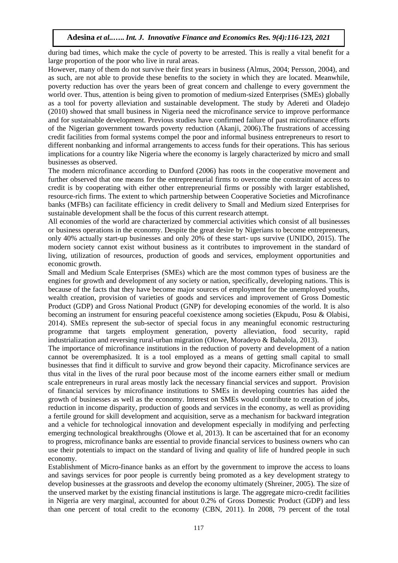during bad times, which make the cycle of poverty to be arrested. This is really a vital benefit for a large proportion of the poor who live in rural areas.

However, many of them do not survive their first years in business (Almus, 2004; Persson, 2004), and as such, are not able to provide these benefits to the society in which they are located. Meanwhile, poverty reduction has over the years been of great concern and challenge to every government the world over. Thus, attention is being given to promotion of medium-sized Enterprises (SMEs) globally as a tool for poverty alleviation and sustainable development. The study by Adereti and Oladejo (2010) showed that small business in Nigeria need the microfinance service to improve performance and for sustainable development. Previous studies have confirmed failure of past microfinance efforts of the Nigerian government towards poverty reduction (Akanji, 2006).The frustrations of accessing credit facilities from formal systems compel the poor and informal business entrepreneurs to resort to different nonbanking and informal arrangements to access funds for their operations. This has serious implications for a country like Nigeria where the economy is largely characterized by micro and small businesses as observed.

The modern microfinance according to Dunford (2006) has roots in the cooperative movement and further observed that one means for the entrepreneurial firms to overcome the constraint of access to credit is by cooperating with either other entrepreneurial firms or possibly with larger established, resource-rich firms. The extent to which partnership between Cooperative Societies and Microfinance banks (MFBs) can facilitate efficiency in credit delivery to Small and Medium sized Enterprises for sustainable development shall be the focus of this current research attempt.

All economies of the world are characterized by commercial activities which consist of all businesses or business operations in the economy. Despite the great desire by Nigerians to become entrepreneurs, only 40% actually start-up businesses and only 20% of these start- ups survive (UNIDO, 2015). The modern society cannot exist without business as it contributes to improvement in the standard of living, utilization of resources, production of goods and services, employment opportunities and economic growth.

Small and Medium Scale Enterprises (SMEs) which are the most common types of business are the engines for growth and development of any society or nation, specifically, developing nations. This is because of the facts that they have become major sources of employment for the unemployed youths, wealth creation, provision of varieties of goods and services and improvement of Gross Domestic Product (GDP) and Gross National Product (GNP) for developing economies of the world. It is also becoming an instrument for ensuring peaceful coexistence among societies (Ekpudu, Posu & Olabisi, 2014). SMEs represent the sub-sector of special focus in any meaningful economic restructuring programme that targets employment generation, poverty alleviation, food security, rapid industrialization and reversing rural-urban migration (Olowe, Moradeyo & Babalola, 2013).

The importance of microfinance institutions in the reduction of poverty and development of a nation cannot be overemphasized. It is a tool employed as a means of getting small capital to small businesses that find it difficult to survive and grow beyond their capacity. Microfinance services are thus vital in the lives of the rural poor because most of the income earners either small or medium scale entrepreneurs in rural areas mostly lack the necessary financial services and support. Provision of financial services by microfinance institutions to SMEs in developing countries has aided the growth of businesses as well as the economy. Interest on SMEs would contribute to creation of jobs, reduction in income disparity, production of goods and services in the economy, as well as providing a fertile ground for skill development and acquisition, serve as a mechanism for backward integration and a vehicle for technological innovation and development especially in modifying and perfecting emerging technological breakthroughs (Olowe et al, 2013). It can be ascertained that for an economy to progress, microfinance banks are essential to provide financial services to business owners who can use their potentials to impact on the standard of living and quality of life of hundred people in such economy.

Establishment of Micro-finance banks as an effort by the government to improve the access to loans and savings services for poor people is currently being promoted as a key development strategy to develop businesses at the grassroots and develop the economy ultimately (Shreiner, 2005). The size of the unserved market by the existing financial institutions is large. The aggregate micro-credit facilities in Nigeria are very marginal, accounted for about 0.2% of Gross Domestic Product (GDP) and less than one percent of total credit to the economy (CBN, 2011). In 2008, 79 percent of the total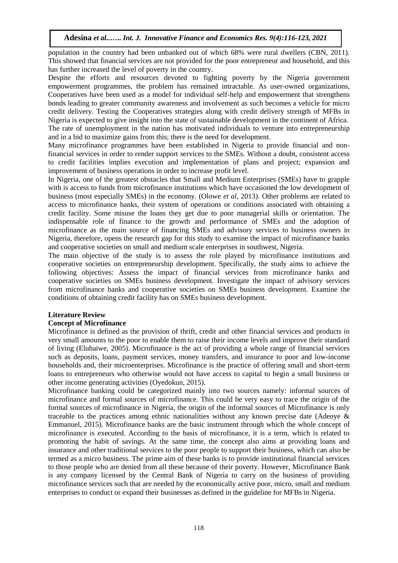population in the country had been unbanked out of which 68% were rural dwellers (CBN, 2011). This showed that financial services are not provided for the poor entrepreneur and household, and this has further increased the level of poverty in the country.

Despite the efforts and resources devoted to fighting poverty by the Nigeria government empowerment programmes, the problem has remained intractable. As user-owned organizations, Cooperatives have been used as a model for individual self-help and empowerment that strengthens bonds leading to greater community awareness and involvement as such becomes a vehicle for micro credit delivery. Testing the Cooperatives strategies along with credit delivery strength of MFBs in Nigeria is expected to give insight into the state of sustainable development in the continent of Africa. The rate of unemployment in the nation has motivated individuals to venture into entrepreneurship and in a bid to maximize gains from this; there is the need for development.

Many microfinance programmes have been established in Nigeria to provide financial and nonfinancial services in order to render support services to the SMEs. Without a doubt, consistent access to credit facilities implies execution and implementation of plans and project; expansion and improvement of business operations in order to increase profit level.

In Nigeria, one of the greatest obstacles that Small and Medium Enterprises (SMEs) have to grapple with is access to funds from microfinance institutions which have occasioned the low development of business (most especially SMEs) in the economy. (Olowe *et al*, 2013). Other problems are related to access to microfinance banks, their system of operations or conditions associated with obtaining a credit facility. Some misuse the loans they get due to poor managerial skills or orientation. The indispensable role of finance to the growth and performance of SMEs and the adoption of microfinance as the main source of financing SMEs and advisory services to business owners in Nigeria, therefore, opens the research gap for this study to examine the impact of microfinance banks and cooperative societies on small and medium scale enterprises in southwest, Nigeria.

The main objective of the study is to assess the role played by microfinance institutions and cooperative societies on entrepreneurship development. Specifically, the study aims to achieve the following objectives: Assess the impact of financial services from microfinance banks and cooperative societies on SMEs business development. Investigate the impact of advisory services from microfinance banks and cooperative societies on SMEs business development. Examine the conditions of obtaining credit facility has on SMEs business development.

# **Literature Review**

# **Concept of Microfinance**

Microfinance is defined as the provision of thrift, credit and other financial services and products in very small amounts to the poor to enable them to raise their income levels and improve their standard of living (Eluhaiwe, 2005). Microfinance is the act of providing a whole range of financial services such as deposits, loans, payment services, money transfers, and insurance to poor and low-income households and, their microenterprises. Microfinance is the practice of offering small and short-term loans to entrepreneurs who otherwise would not have access to capital to begin a small business or other income generating activities (Oyedokun, 2015).

Microfinance banking could be categorized mainly into two sources namely: informal sources of microfinance and formal sources of microfinance. This could be very easy to trace the origin of the formal sources of microfinance in Nigeria, the origin of the informal sources of Microfinance is only traceable to the practices among ethnic nationalities without any known precise date (Adeoye  $\&$ Emmanuel, 2015). Microfinance banks are the basic instrument through which the whole concept of microfinance is executed. According to the basis of microfinance, it is a term, which is related to promoting the habit of savings. At the same time, the concept also aims at providing loans and insurance and other traditional services to the poor people to support their business, which can also be termed as a micro business. The prime aim of these banks is to provide institutional financial services to those people who are denied from all these because of their poverty. However, Microfinance Bank is any company licensed by the Central Bank of Nigeria to carry on the business of providing microfinance services such that are needed by the economically active poor, micro, small and medium enterprises to conduct or expand their businesses as defined in the guideline for MFBs in Nigeria.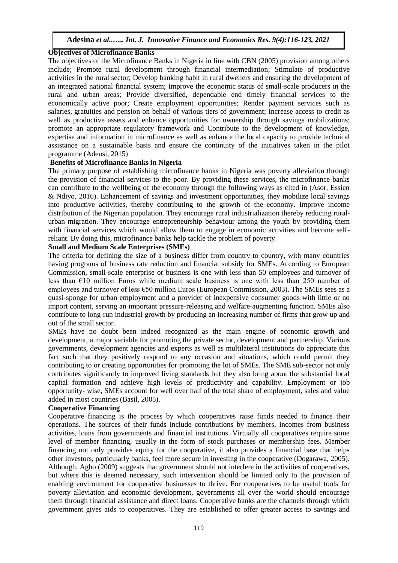# **Objectives of Microfinance Banks**

The objectives of the Microfinance Banks in Nigeria in line with CBN (2005) provision among others include; Promote rural development through financial intermediation; Stimulate of productive activities in the rural sector; Develop banking habit in rural dwellers and ensuring the development of an integrated national financial system; Improve the economic status of small-scale producers in the rural and urban areas; Provide diversified, dependable end timely financial services to the economically active poor; Create employment opportunities; Render payment services such as salaries, gratuities and pension on behalf of various tiers of government; Increase access to credit as well as productive assets and enhance opportunities for ownership through savings mobilizations; promote an appropriate regulatory framework and Contribute to the development of knowledge, expertise and information in microfinance as well as enhance the local capacity to provide technical assistance on a sustainable basis and ensure the continuity of the initiatives taken in the pilot programme (Adeusi, 2015)

#### **Benefits of Microfinance Banks in Nigeria**

The primary purpose of establishing microfinance banks in Nigeria was poverty alleviation through the provision of financial services to the poor. By providing these services, the microfinance banks can contribute to the wellbeing of the economy through the following ways as cited in (Asor, Essien & Ndiyo, 2016). Enhancement of savings and investment opportunities, they mobilize local savings into productive activities, thereby contributing to the growth of the economy. Improve income distribution of the Nigerian population. They encourage rural industrialization thereby reducing ruralurban migration. They encourage entrepreneurship behaviour among the youth by providing them with financial services which would allow them to engage in economic activities and become selfreliant. By doing this, microfinance banks help tackle the problem of poverty

#### **Small and Medium Scale Enterprises (SMEs)**

The criteria for defining the size of a business differ from country to country, with many countries having programs of business rate reduction and financial subsidy for SMEs. According to European Commission, small-scale enterprise or business is one with less than 50 employees and turnover of less than  $E10$  million Euros while medium scale business is one with less than 250 number of employees and turnover of less €50 million Euros (European Commission, 2003). The SMEs sees as a quasi-sponge for urban employment and a provider of inexpensive consumer goods with little or no import content, serving an important pressure-releasing and welfare-augmenting function. SMEs also contribute to long-run industrial growth by producing an increasing number of firms that grow up and out of the small sector.

SMEs have no doubt been indeed recognized as the main engine of economic growth and development, a major variable for promoting the private sector, development and partnership. Various governments, development agencies and experts as well as multilateral institutions do appreciate this fact such that they positively respond to any occasion and situations, which could permit they contributing to or creating opportunities for promoting the lot of SMEs. The SME sub-sector not only contributes significantly to improved living standards but they also bring about the substantial local capital formation and achieve high levels of productivity and capability. Employment or job opportunity- wise, SMEs account for well over half of the total share of employment, sales and value added in most countries (Basil, 2005).

# **Cooperative Financing**

Cooperative financing is the process by which cooperatives raise funds needed to finance their operations. The sources of their funds include contributions by members, incomes from business activities, loans from governments and financial institutions. Virtually all cooperatives require some level of member financing, usually in the form of stock purchases or membership fees. Member financing not only provides equity for the cooperative, it also provides a financial base that helps other investors, particularly banks, feel more secure in investing in the cooperative (Dogarawa, 2005). Although, Agbo (2009) suggests that government should not interfere in the activities of cooperatives, but where this is deemed necessary, such intervention should be limited only to the provision of enabling environment for cooperative businesses to thrive. For cooperatives to be useful tools for poverty alleviation and economic development, governments all over the world should encourage them through financial assistance and direct loans. Cooperative banks are the channels through which government gives aids to cooperatives. They are established to offer greater access to savings and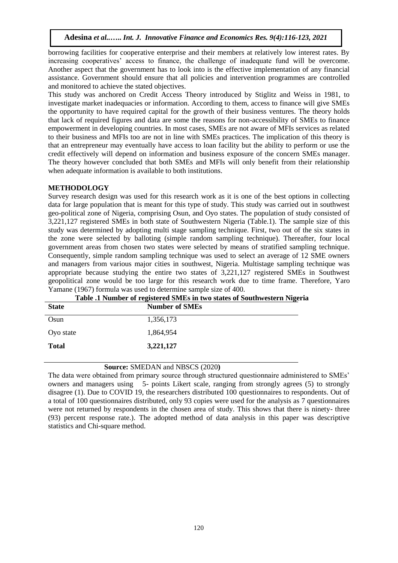borrowing facilities for cooperative enterprise and their members at relatively low interest rates. By increasing cooperatives' access to finance, the challenge of inadequate fund will be overcome. Another aspect that the government has to look into is the effective implementation of any financial assistance. Government should ensure that all policies and intervention programmes are controlled and monitored to achieve the stated objectives.

This study was anchored on Credit Access Theory introduced by Stiglitz and Weiss in 1981, to investigate market inadequacies or information. According to them, access to finance will give SMEs the opportunity to have required capital for the growth of their business ventures. The theory holds that lack of required figures and data are some the reasons for non-accessibility of SMEs to finance empowerment in developing countries. In most cases, SMEs are not aware of MFIs services as related to their business and MFIs too are not in line with SMEs practices. The implication of this theory is that an entrepreneur may eventually have access to loan facility but the ability to perform or use the credit effectively will depend on information and business exposure of the concern SMEs manager. The theory however concluded that both SMEs and MFIs will only benefit from their relationship when adequate information is available to both institutions.

# **METHODOLOGY**

Survey research design was used for this research work as it is one of the best options in collecting data for large population that is meant for this type of study. This study was carried out in southwest geo-political zone of Nigeria, comprising Osun, and Oyo states. The population of study consisted of 3,221,127 registered SMEs in both state of Southwestern Nigeria (Table.1). The sample size of this study was determined by adopting multi stage sampling technique. First, two out of the six states in the zone were selected by balloting (simple random sampling technique). Thereafter, four local government areas from chosen two states were selected by means of stratified sampling technique. Consequently, simple random sampling technique was used to select an average of 12 SME owners and managers from various major cities in southwest, Nigeria. Multistage sampling technique was appropriate because studying the entire two states of 3,221,127 registered SMEs in Southwest geopolitical zone would be too large for this research work due to time frame. Therefore, Yaro Yamane (1967) formula was used to determine sample size of 400.

| <b>State</b> | <b>Number of SMEs</b> |
|--------------|-----------------------|
| Osun         | 1,356,173             |
| Ovo state    | 1,864,954             |
| <b>Total</b> | 3,221,127             |
|              |                       |

# **Table .1 Number of registered SMEs in two states of Southwestern Nigeria**

# **Source:** SMEDAN and NBSCS (2020**)**

The data were obtained from primary source through structured questionnaire administered to SMEs' owners and managers using 5- points Likert scale, ranging from strongly agrees (5) to strongly disagree (1). Due to COVID 19, the researchers distributed 100 questionnaires to respondents. Out of a total of 100 questionnaires distributed, only 93 copies were used for the analysis as 7 questionnaires were not returned by respondents in the chosen area of study. This shows that there is ninety- three (93) percent response rate.). The adopted method of data analysis in this paper was descriptive statistics and Chi-square method.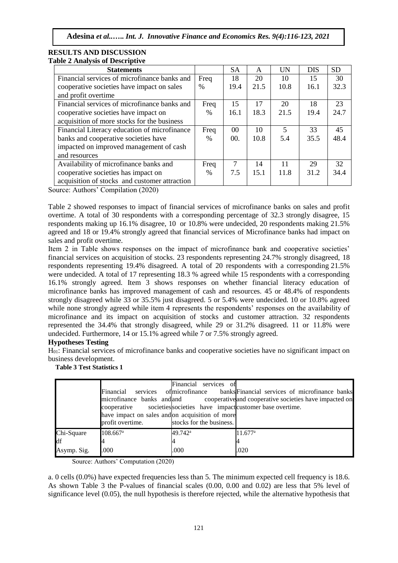#### **RESULTS AND DISCUSSION Table 2 Analysis of Descriptive**

| <b>Statements</b>                             |      | <b>SA</b>       | A    | <b>UN</b>               | <b>DIS</b> | <b>SD</b> |
|-----------------------------------------------|------|-----------------|------|-------------------------|------------|-----------|
| Financial services of microfinance banks and  | Freq | 18              | 20   | 10                      | 15         | 30        |
| cooperative societies have impact on sales    | $\%$ | 19.4            | 21.5 | 10.8                    | 16.1       | 32.3      |
| and profit overtime                           |      |                 |      |                         |            |           |
| Financial services of microfinance banks and  | Freq | 15              | 17   | 20                      | 18         | 23        |
| cooperative societies have impact on          | $\%$ | 16.1            | 18.3 | 21.5                    | 19.4       | 24.7      |
| acquisition of more stocks for the business   |      |                 |      |                         |            |           |
| Financial Literacy education of microfinance  | Freq | 00 <sup>2</sup> | 10   | $\overline{\mathbf{5}}$ | 33         | 45        |
| banks and cooperative societies have          | $\%$ | 00.             | 10.8 | 5.4                     | 35.5       | 48.4      |
| impacted on improved management of cash       |      |                 |      |                         |            |           |
| and resources                                 |      |                 |      |                         |            |           |
| Availability of microfinance banks and        | Freq | 7               | 14   | 11                      | 29         | 32        |
| cooperative societies has impact on           | $\%$ | 7.5             | 15.1 | 11.8                    | 31.2       | 34.4      |
| acquisition of stocks and customer attraction |      |                 |      |                         |            |           |

Source: Authors' Compilation (2020)

Table 2 showed responses to impact of financial services of microfinance banks on sales and profit overtime. A total of 30 respondents with a corresponding percentage of 32.3 strongly disagree, 15 respondents making up 16.1% disagree, 10 or 10.8% were undecided, 20 respondents making 21.5% agreed and 18 or 19.4% strongly agreed that financial services of Microfinance banks had impact on sales and profit overtime.

Item 2 in Table shows responses on the impact of microfinance bank and cooperative societies' financial services on acquisition of stocks. 23 respondents representing 24.7% strongly disagreed, 18 respondents representing 19.4% disagreed. A total of 20 respondents with a corresponding 21.5% were undecided. A total of 17 representing 18.3 % agreed while 15 respondents with a corresponding 16.1% strongly agreed. Item 3 shows responses on whether financial literacy education of microfinance banks has improved management of cash and resources. 45 or 48.4% of respondents strongly disagreed while 33 or 35.5% just disagreed. 5 or 5.4% were undecided. 10 or 10.8% agreed while none strongly agreed while item 4 represents the respondents' responses on the availability of microfinance and its impact on acquisition of stocks and customer attraction. 32 respondents represented the 34.4% that strongly disagreed, while 29 or 31.2% disagreed. 11 or 11.8% were undecided. Furthermore, 14 or 15.1% agreed while 7 or 7.5% strongly agreed.

# **Hypotheses Testing**

H01: Financial services of microfinance banks and cooperative societies have no significant impact on business development.

# **Table 3 Test Statistics 1**

|                                 | Financial<br>microfinance banks and and<br>cooperative societies societies have impact customer base over time.<br>have impact on sales and on acquisition of more<br>profit overtime. | Financial services<br>-ofi<br>stocks for the business. | services of microfinance banks Financial services of microfinance banks<br>cooperative and cooperative societies have impacted on |
|---------------------------------|----------------------------------------------------------------------------------------------------------------------------------------------------------------------------------------|--------------------------------------------------------|-----------------------------------------------------------------------------------------------------------------------------------|
| Chi-Square<br>df<br>Asymp. Sig. | $108.667$ <sup>a</sup><br>.000                                                                                                                                                         | 49.742 <sup>a</sup><br>.000                            | $11.677^{\rm a}$<br>.020                                                                                                          |

Source: Authors' Computation (2020)

a. 0 cells (0.0%) have expected frequencies less than 5. The minimum expected cell frequency is 18.6. As shown Table 3 the P-values of financial scales (0.00, 0.00 and 0.02) are less that 5% level of significance level (0.05), the null hypothesis is therefore rejected, while the alternative hypothesis that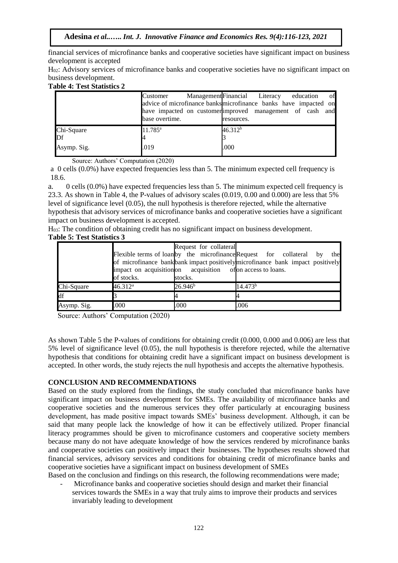financial services of microfinance banks and cooperative societies have significant impact on business development is accepted

H<sub>02</sub>: Advisory services of microfinance banks and cooperative societies have no significant impact on business development.

#### **Table 4: Test Statistics 2**

|             | Customer         | Management Financial Literacy                                    |                     | education | of |
|-------------|------------------|------------------------------------------------------------------|---------------------|-----------|----|
|             |                  | advice of microfinance banks microfinance banks have impacted on |                     |           |    |
|             |                  | have impacted on customer improved management of cash and        |                     |           |    |
|             | base overtime.   |                                                                  | resources.          |           |    |
| Chi-Square  | $11.785^{\rm a}$ |                                                                  | 46.312 <sup>b</sup> |           |    |
| Df          |                  |                                                                  |                     |           |    |
| Asymp. Sig. | .019             |                                                                  | .000                |           |    |

Source: Authors' Computation (2020)

a 0 cells (0.0%) have expected frequencies less than 5. The minimum expected cell frequency is 18.6.

a. 0 cells (0.0%) have expected frequencies less than 5. The minimum expected cell frequency is 23.3. As shown in Table 4, the P-values of advisory scales (0.019, 0.00 and 0.000) are less that 5% level of significance level (0.05), the null hypothesis is therefore rejected, while the alternative hypothesis that advisory services of microfinance banks and cooperative societies have a significant impact on business development is accepted.

H03: The condition of obtaining credit has no significant impact on business development. **Table 5: Test Statistics 3**

|             |                                                             | Request for collateral |                                                                                 |
|-------------|-------------------------------------------------------------|------------------------|---------------------------------------------------------------------------------|
|             |                                                             |                        | Flexible terms of loan by the microfinance Request for collateral by<br>the     |
|             |                                                             |                        | of microfinance bank bank impact positively microfinance bank impact positively |
|             | impact on acquisition of acquisition of on access to loans. |                        |                                                                                 |
|             | of stocks.                                                  | stocks.                |                                                                                 |
| Chi-Square  | 46.312 <sup>a</sup>                                         | 26.946 <sup>b</sup>    | 14.473 <sup>b</sup>                                                             |
| df          |                                                             |                        |                                                                                 |
| Asymp. Sig. | .000                                                        | .000                   | .006                                                                            |

Source: Authors' Computation (2020)

As shown Table 5 the P-values of conditions for obtaining credit (0.000, 0.000 and 0.006) are less that 5% level of significance level (0.05), the null hypothesis is therefore rejected, while the alternative hypothesis that conditions for obtaining credit have a significant impact on business development is accepted. In other words, the study rejects the null hypothesis and accepts the alternative hypothesis.

# **CONCLUSION AND RECOMMENDATIONS**

Based on the study explored from the findings, the study concluded that microfinance banks have significant impact on business development for SMEs. The availability of microfinance banks and cooperative societies and the numerous services they offer particularly at encouraging business development, has made positive impact towards SMEs' business development. Although, it can be said that many people lack the knowledge of how it can be effectively utilized. Proper financial literacy programmes should be given to microfinance customers and cooperative society members because many do not have adequate knowledge of how the services rendered by microfinance banks and cooperative societies can positively impact their businesses. The hypotheses results showed that financial services, advisory services and conditions for obtaining credit of microfinance banks and cooperative societies have a significant impact on business development of SMEs

Based on the conclusion and findings on this research, the following recommendations were made;

- Microfinance banks and cooperative societies should design and market their financial services towards the SMEs in a way that truly aims to improve their products and services invariably leading to development